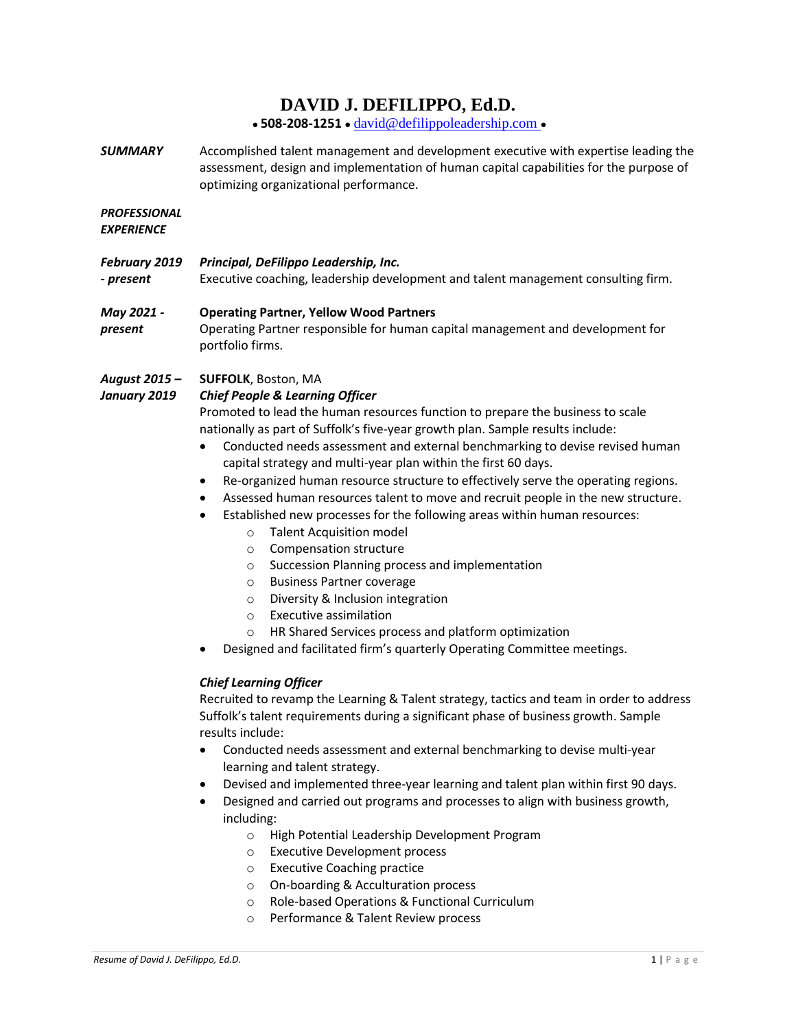# **DAVID J. DEFILIPPO, Ed.D.**

• **508-208-1251** • [david@defilippoleadership.com](mailto:david@defilippoleadership.net) •

*SUMMARY* Accomplished talent management and development executive with expertise leading the assessment, design and implementation of human capital capabilities for the purpose of optimizing organizational performance.

# *PROFESSIONAL*

*EXPERIENCE*

| - present  | February 2019 Principal, DeFilippo Leadership, Inc.<br>Executive coaching, leadership development and talent management consulting firm. |
|------------|------------------------------------------------------------------------------------------------------------------------------------------|
| May 2021 - | <b>Operating Partner, Yellow Wood Partners</b>                                                                                           |

*present* Operating Partner responsible for human capital management and development for portfolio firms.

#### *August 2015 –* **SUFFOLK**, Boston, MA

#### *January 2019 Chief People & Learning Officer*

Promoted to lead the human resources function to prepare the business to scale nationally as part of Suffolk's five-year growth plan. Sample results include:

- Conducted needs assessment and external benchmarking to devise revised human capital strategy and multi-year plan within the first 60 days.
- Re-organized human resource structure to effectively serve the operating regions.
- Assessed human resources talent to move and recruit people in the new structure.
- Established new processes for the following areas within human resources:
	- o Talent Acquisition model
	- o Compensation structure
	- o Succession Planning process and implementation
	- o Business Partner coverage
	- o Diversity & Inclusion integration
	- o Executive assimilation
	- o HR Shared Services process and platform optimization
- Designed and facilitated firm's quarterly Operating Committee meetings.

## *Chief Learning Officer*

Recruited to revamp the Learning & Talent strategy, tactics and team in order to address Suffolk's talent requirements during a significant phase of business growth. Sample results include:

- Conducted needs assessment and external benchmarking to devise multi-year learning and talent strategy.
- Devised and implemented three-year learning and talent plan within first 90 days.
- Designed and carried out programs and processes to align with business growth, including:
	- o High Potential Leadership Development Program
	- o Executive Development process
	- o Executive Coaching practice
	- o On-boarding & Acculturation process
	- o Role-based Operations & Functional Curriculum
	- o Performance & Talent Review process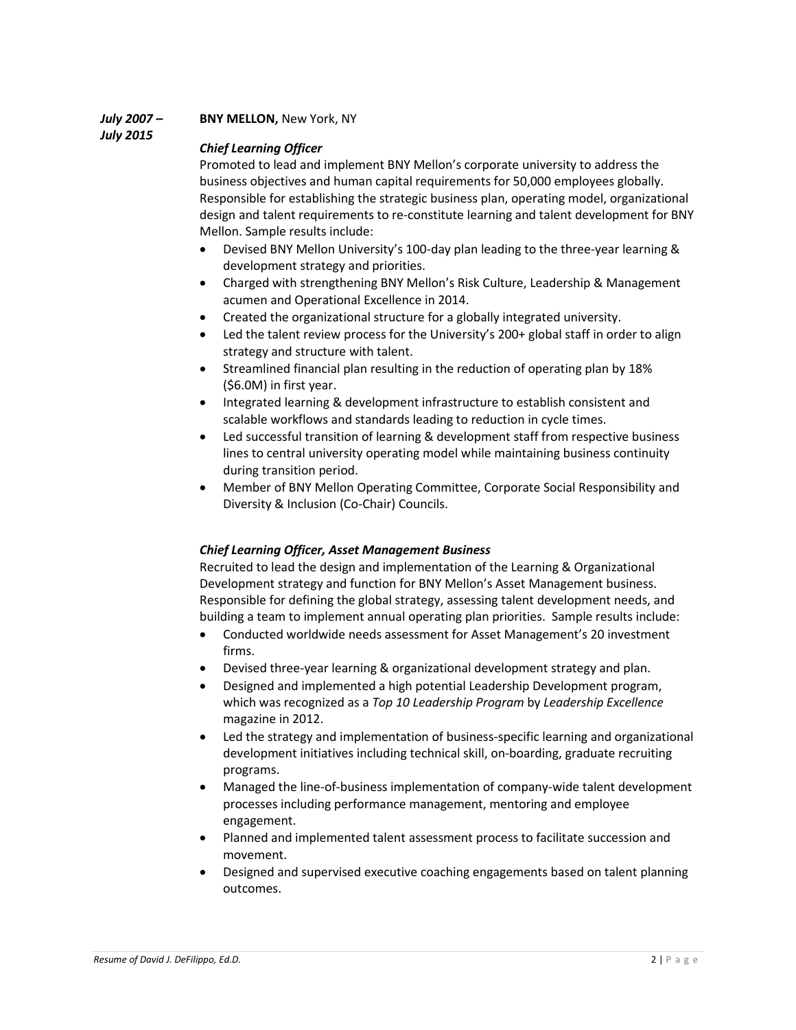*July 2007 –*

**BNY MELLON,** New York, NY

*July 2015*

## *Chief Learning Officer*

Promoted to lead and implement BNY Mellon's corporate university to address the business objectives and human capital requirements for 50,000 employees globally. Responsible for establishing the strategic business plan, operating model, organizational design and talent requirements to re-constitute learning and talent development for BNY Mellon. Sample results include:

- Devised BNY Mellon University's 100-day plan leading to the three-year learning & development strategy and priorities.
- Charged with strengthening BNY Mellon's Risk Culture, Leadership & Management acumen and Operational Excellence in 2014.
- Created the organizational structure for a globally integrated university.
- Led the talent review process for the University's 200+ global staff in order to align strategy and structure with talent.
- Streamlined financial plan resulting in the reduction of operating plan by 18% (\$6.0M) in first year.
- Integrated learning & development infrastructure to establish consistent and scalable workflows and standards leading to reduction in cycle times.
- Led successful transition of learning & development staff from respective business lines to central university operating model while maintaining business continuity during transition period.
- Member of BNY Mellon Operating Committee, Corporate Social Responsibility and Diversity & Inclusion (Co-Chair) Councils.

# *Chief Learning Officer, Asset Management Business*

Recruited to lead the design and implementation of the Learning & Organizational Development strategy and function for BNY Mellon's Asset Management business. Responsible for defining the global strategy, assessing talent development needs, and building a team to implement annual operating plan priorities. Sample results include:

- Conducted worldwide needs assessment for Asset Management's 20 investment firms.
- Devised three-year learning & organizational development strategy and plan.
- Designed and implemented a high potential Leadership Development program, which was recognized as a *Top 10 Leadership Program* by *Leadership Excellence* magazine in 2012.
- Led the strategy and implementation of business-specific learning and organizational development initiatives including technical skill, on-boarding, graduate recruiting programs.
- Managed the line-of-business implementation of company-wide talent development processes including performance management, mentoring and employee engagement.
- Planned and implemented talent assessment process to facilitate succession and movement.
- Designed and supervised executive coaching engagements based on talent planning outcomes.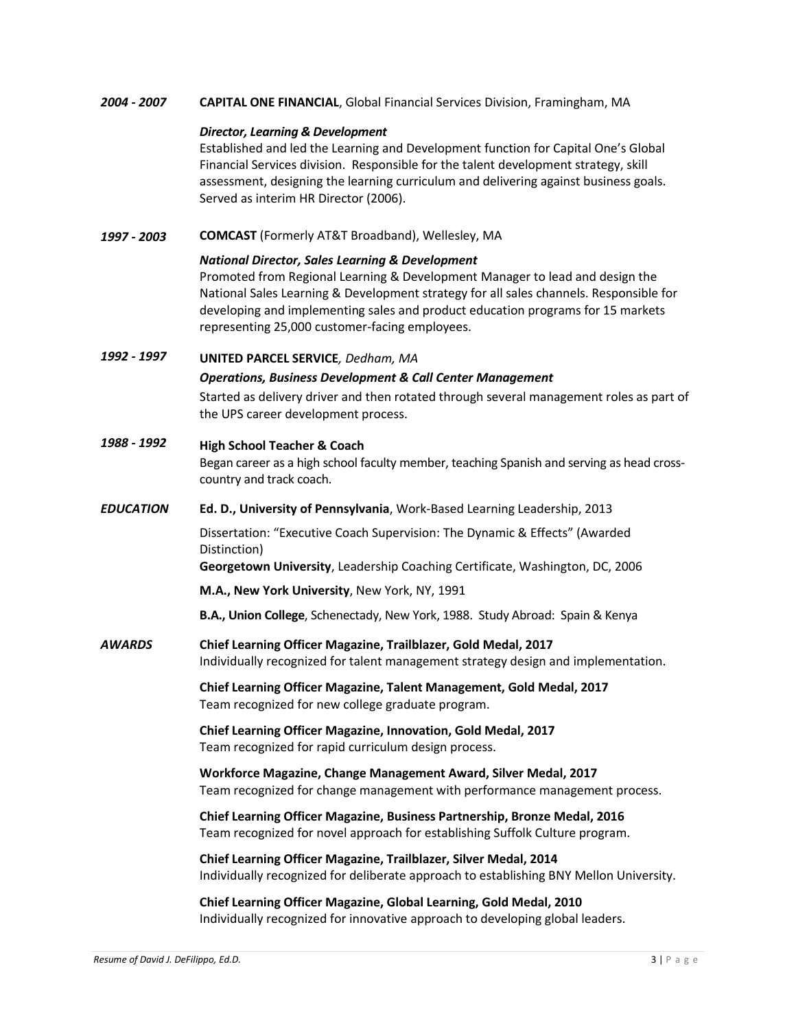*2004 - 2007* **CAPITAL ONE FINANCIAL**, Global Financial Services Division, Framingham, MA

#### *Director, Learning & Development*

Established and led the Learning and Development function for Capital One's Global Financial Services division. Responsible for the talent development strategy, skill assessment, designing the learning curriculum and delivering against business goals. Served as interim HR Director (2006).

*1997 - 2003* **COMCAST** (Formerly AT&T Broadband), Wellesley, MA

#### *National Director, Sales Learning & Development*

Promoted from Regional Learning & Development Manager to lead and design the National Sales Learning & Development strategy for all sales channels. Responsible for developing and implementing sales and product education programs for 15 markets representing 25,000 customer-facing employees.

## *1992 - 1997* **UNITED PARCEL SERVICE***, Dedham, MA*

#### *Operations, Business Development & Call Center Management*

Started as delivery driver and then rotated through several management roles as part of the UPS career development process.

# *1988 - 1992* **High School Teacher & Coach** Began career as a high school faculty member, teaching Spanish and serving as head crosscountry and track coach.

#### *EDUCATION* **Ed. D., University of Pennsylvania**, Work-Based Learning Leadership, 2013

Dissertation: "Executive Coach Supervision: The Dynamic & Effects" (Awarded Distinction)

**Georgetown University**, Leadership Coaching Certificate, Washington, DC, 2006

**M.A., New York University**, New York, NY, 1991

**B.A., Union College**, Schenectady, New York, 1988. Study Abroad: Spain & Kenya

*AWARDS* **Chief Learning Officer Magazine, Trailblazer, Gold Medal, 2017** Individually recognized for talent management strategy design and implementation.

> **Chief Learning Officer Magazine, Talent Management, Gold Medal, 2017** Team recognized for new college graduate program.

#### **Chief Learning Officer Magazine, Innovation, Gold Medal, 2017** Team recognized for rapid curriculum design process.

#### **Workforce Magazine, Change Management Award, Silver Medal, 2017** Team recognized for change management with performance management process.

**Chief Learning Officer Magazine, Business Partnership, Bronze Medal, 2016** Team recognized for novel approach for establishing Suffolk Culture program.

**Chief Learning Officer Magazine, Trailblazer, Silver Medal, 2014** Individually recognized for deliberate approach to establishing BNY Mellon University.

## **Chief Learning Officer Magazine, Global Learning, Gold Medal, 2010** Individually recognized for innovative approach to developing global leaders.